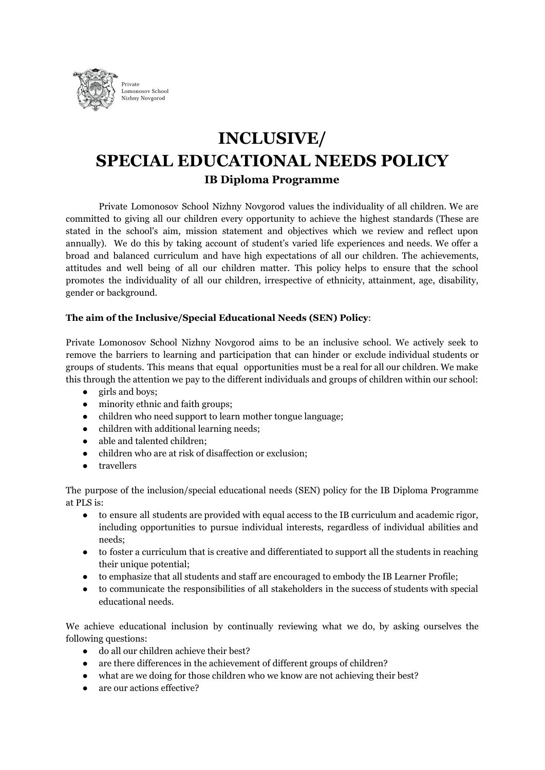

# **INCLUSIVE/ SPECIAL EDUCATIONAL NEEDS POLICY IB Diploma Programme**

Private Lomonosov School Nizhny Novgorod values the individuality of all children. We are committed to giving all our children every opportunity to achieve the highest standards (These are stated in the school's aim, mission statement and objectives which we review and reflect upon annually). We do this by taking account of student's varied life experiences and needs. We offer a broad and balanced curriculum and have high expectations of all our children. The achievements, attitudes and well being of all our children matter. This policy helps to ensure that the school promotes the individuality of all our children, irrespective of ethnicity, attainment, age, disability, gender or background.

## **The aim of the Inclusive/Special Educational Needs (SEN) Policy**:

Private Lomonosov School Nizhny Novgorod aims to be an inclusive school. We actively seek to remove the barriers to learning and participation that can hinder or exclude individual students or groups of students. This means that equal opportunities must be a real for all our children. We make this through the attention we pay to the different individuals and groups of children within our school:

- girls and boys;
- minority ethnic and faith groups;
- children who need support to learn mother tongue language;
- children with additional learning needs;
- able and talented children;
- children who are at risk of disaffection or exclusion;
- travellers

The purpose of the inclusion/special educational needs (SEN) policy for the IB Diploma Programme at PLS is:

- to ensure all students are provided with equal access to the IB curriculum and academic rigor, including opportunities to pursue individual interests, regardless of individual abilities and needs;
- to foster a curriculum that is creative and differentiated to support all the students in reaching their unique potential;
- to emphasize that all students and staff are encouraged to embody the IB Learner Profile;
- to communicate the responsibilities of all stakeholders in the success of students with special educational needs.

We achieve educational inclusion by continually reviewing what we do, by asking ourselves the following questions:

- do all our children achieve their best?
- are there differences in the achievement of different groups of children?
- what are we doing for those children who we know are not achieving their best?
- are our actions effective?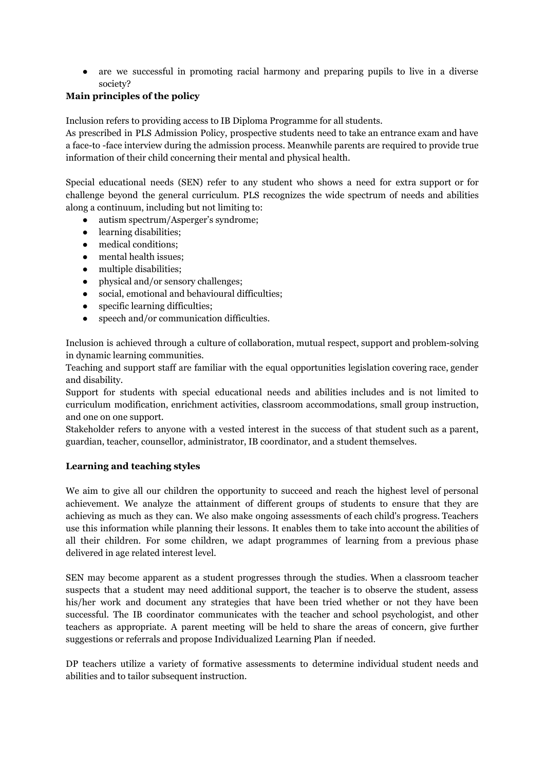● are we successful in promoting racial harmony and preparing pupils to live in a diverse society?

## **Main principles of the policy**

Inclusion refers to providing access to IB Diploma Programme for all students.

As prescribed in PLS Admission Policy, prospective students need to take an entrance exam and have a face-to -face interview during the admission process. Meanwhile parents are required to provide true information of their child concerning their mental and physical health.

Special educational needs (SEN) refer to any student who shows a need for extra support or for challenge beyond the general curriculum. PLS recognizes the wide spectrum of needs and abilities along a continuum, including but not limiting to:

- autism spectrum/Asperger's syndrome;
- learning disabilities;
- medical conditions;
- mental health issues;
- multiple disabilities;
- physical and/or sensory challenges;
- social, emotional and behavioural difficulties;
- specific learning difficulties;
- speech and/or communication difficulties.

Inclusion is achieved through a culture of collaboration, mutual respect, support and problem-solving in dynamic learning communities.

Teaching and support staff are familiar with the equal opportunities legislation covering race, gender and disability.

Support for students with special educational needs and abilities includes and is not limited to curriculum modification, enrichment activities, classroom accommodations, small group instruction, and one on one support.

Stakeholder refers to anyone with a vested interest in the success of that student such as a parent, guardian, teacher, counsellor, administrator, IB coordinator, and a student themselves.

## **Learning and teaching styles**

We aim to give all our children the opportunity to succeed and reach the highest level of personal achievement. We analyze the attainment of different groups of students to ensure that they are achieving as much as they can. We also make ongoing assessments of each child's progress. Teachers use this information while planning their lessons. It enables them to take into account the abilities of all their children. For some children, we adapt programmes of learning from a previous phase delivered in age related interest level.

SEN may become apparent as a student progresses through the studies. When a classroom teacher suspects that a student may need additional support, the teacher is to observe the student, assess his/her work and document any strategies that have been tried whether or not they have been successful. The IB coordinator communicates with the teacher and school psychologist, and other teachers as appropriate. A parent meeting will be held to share the areas of concern, give further suggestions or referrals and propose Individualized Learning Plan if needed.

DP teachers utilize a variety of formative assessments to determine individual student needs and abilities and to tailor subsequent instruction.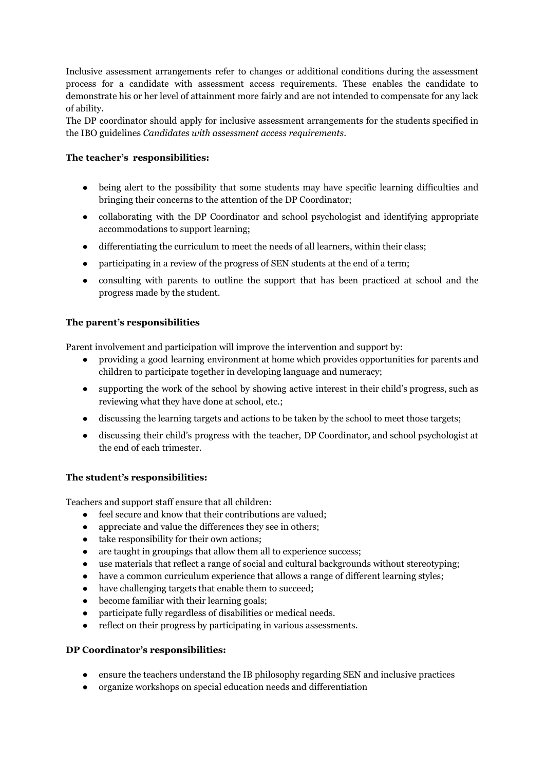Inclusive assessment arrangements refer to changes or additional conditions during the assessment process for a candidate with assessment access requirements. These enables the candidate to demonstrate his or her level of attainment more fairly and are not intended to compensate for any lack of ability.

The DP coordinator should apply for inclusive assessment arrangements for the students specified in the IBO guidelines *Candidates with assessment access requirements*.

## **The teacher's responsibilities:**

- being alert to the possibility that some students may have specific learning difficulties and bringing their concerns to the attention of the DP Coordinator;
- collaborating with the DP Coordinator and school psychologist and identifying appropriate accommodations to support learning;
- differentiating the curriculum to meet the needs of all learners, within their class;
- participating in a review of the progress of SEN students at the end of a term;
- consulting with parents to outline the support that has been practiced at school and the progress made by the student.

## **The parent's responsibilities**

Parent involvement and participation will improve the intervention and support by:

- providing a good learning environment at home which provides opportunities for parents and children to participate together in developing language and numeracy;
- supporting the work of the school by showing active interest in their child's progress, such as reviewing what they have done at school, etc.;
- discussing the learning targets and actions to be taken by the school to meet those targets;
- discussing their child's progress with the teacher, DP Coordinator, and school psychologist at the end of each trimester.

#### **The student's responsibilities:**

Teachers and support staff ensure that all children:

- feel secure and know that their contributions are valued;
- appreciate and value the differences they see in others;
- take responsibility for their own actions;
- are taught in groupings that allow them all to experience success;
- use materials that reflect a range of social and cultural backgrounds without stereotyping;
- have a common curriculum experience that allows a range of different learning styles;
- have challenging targets that enable them to succeed;
- become familiar with their learning goals;
- participate fully regardless of disabilities or medical needs.
- reflect on their progress by participating in various assessments.

#### **DP Coordinator's responsibilities:**

- ensure the teachers understand the IB philosophy regarding SEN and inclusive practices
- organize workshops on special education needs and differentiation